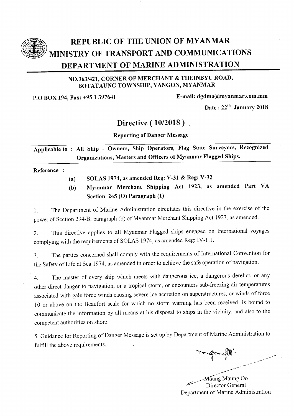

# REPUBLIC OF THE UNION OF MYANMAR MINISTRY OF TRANSPORT AND COMMUNICATIONS DEPARTMENT OF MARINE ADMINISTRATION

### NO.363/421, CORNER OF MERCHANT & THEINBYU ROAD, BOTATAUNG TOWNSHIP, YANGON, MYANMAR

P.O BOX 194, Fax: +95 1 397641 E-mail: dgdma@myanmar.com.mm

Date:  $22^{\text{th}}$  January 2018

## Directive (10/2018).

Reporting of Danger Message

Applicable to: All Ship - Owners, Ship Operators, Flag State Surveyors, Recognized organizations, Masters and officers of Myanmar Flagged Ships.

Reference :

- (a) SOLAS 1974, as amended Reg: V-31 & Reg: V-32
- (b) Myanmar Merchant Shipping Act L923, as amended Part VA Section  $245$  (O) Paragraph  $(1)$

l. The Department of Marine Administration circulates this directive in the exercise of the power of Section 294-8, paragraph (b) of Myanmar Merchant Shipping Act 1923 , as amended.

2. This directive applies to all Myanmar Flagged ships engaged on International voyages complying with the requirements of SOLAS 1974, as amended Reg: IV-1.1.

3. The parties concemed shall comply with the requirements of International Convention for the Safety of Life at Sea 1974, as amended in order to achieve the safe operation of navigation.

4. The master of every ship which meets with dangerous ice, a dangerous derelict, or any other direct danger to navigation, or a tropical storm, or encounters sub-freezing air temperatures associated with gale force winds causing severe ice accretion on superstructures, or winds of force 10 or above on the Beaufort scale for which no storm warning has been received, is bound to communicate the information by all means at his disposal to ships in the vicinity, and also to the competent authorities on shore.

5. Guidance for Reporting of Danger Message is set up by Department of Marine Administration to fulfill the above requirements.

 $\sim$  $\sqrt{1}$ ,--'-''t""'

Maung Maung Oo Director General Department of Marine Administration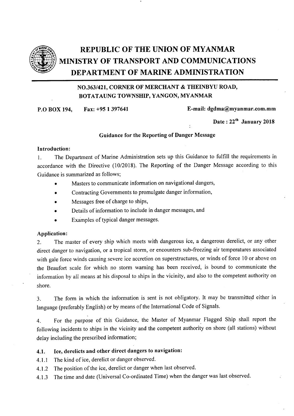

# REPUBLIC OF THE UNION OF MYANMAR MINISTRY OF TRANSPORT AND COMMUNICATIONS DEPARTMENT OF MARINE ADMINISTRATION

### NO.363/421, CORNER OF MERCHANT & THEINBYU ROAD, BOTATAUNG TOWNSHIP, YANGON, MYANMAR

P.O BOX 194, Fax: +95 1397641 E-mail: dgdma@myanmar.com.mm

Date:  $22<sup>th</sup>$  January 2018

#### Guidance for the Reporting of Danger Message

:

#### Introduction:

1. The Department of Marine Administration sets up this Guidance to fulfill the requirements in accordance with the Directive (10/2018). The Reporting of the Danger Message according to this Guidance is summarized as follows;

- Masters to communicate information on navigational dangers,
- . Contracting Governments to promulgate danger information,
- Messages free of charge to ships,
- Details of information to include in danger messages, and
- Examples of typical danger messages.

#### Application:

Z. The master of every ship which meets with dangerous ice, a dangerous derelict, or any other direct danger to navigation, or a tropical storm, or encounters sub-freezing air temperatures associated with gale force winds causing severe ice accretion on superstructures, or winds of force l0 or above on the Beaufort scale for which no storm warning has been received, is bound to communicate the information by all means at his disposal to ships in the vicinity, and also to the competent authority on shore.

3. The form in which the information is sent is not obligatory. It may be transmitted either in language (preferably English) or by means of the International Code of Signals.

4. For the purpose of this Guidance, the Master of Myanmar. Flagged Ship shall report the following incidents to ships in the vicinity and the competent authority on shore (all stations) without delay including the prescribed information;

#### 4.1. Ice, derelicts and other direct dangers to navigation:

4.1.1 The kind of ice, derelict or danger observed.

- 4.1.2 The position of the ice, derelict or danger when last observed.
- 4.1.3 The time and date (Universal Co-ordinated Time) when the danger was last observed.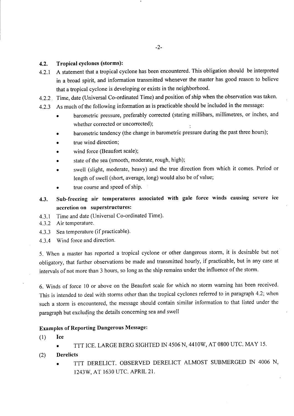#### 4.2. Tropical cyclones (storms):

- 4.2.1 A statement that a tropical cyclone has been encountered. This obligation should be interpreted in a broad spirit, and information transmitted whenever the master has good reason to believe that a tropical cyclone is developing or exists in the neighborhood.
- 4.2.2. Time, date (Universal Co-ordinated Time) and position of ship when the observation was taken.
- 4.2.3 As much of the following information as is practicable should be included in the message:
	- barometric pressure, preferably corrected (stating millibars, millimetres, or inches, and whether corrected or uncorrected);
	- barometric tendency (the change in barometric pressure during the past three hours);
	- true wind direction;
	- wind force (Beaufort scale);
	- state of the sea (smooth, moderate, rough, high);
	- swell (slight, moderate, heavy) and the true direction from which it comes. Period or length of swell (short, average, long) would also be of value;
	- true course and speed of ship.
- 4.3. Sub-freezing air temperatures associated with gale force winds causing severe ice accretion on superstructures:
- 4.3.1 Time and date (Universal Co-ordinated Time).
- 4.3.2 Air temperature.
- 4.3.3 Sea temperature (if practicable).
- 4.3.4 Wind force and direction.

5. When a master has reported a tropical cyclone or other dangeroustorm, it is desirable but not obligatory, that further observations be made and transmitted hourly, if practicable, but in any case at intervals of not more than 3 hours, so long as the ship remains under the influence of the storm.

6. Winds of force l0 or above on the Beaufort scale for which no storm warning has been received. This is intended to deal with storms other than the tropical cyclones referred to in paragraph 4.2; when such a storm is encountered, the message should contain similar information to that listed under the paragraph but excluding the details concerning sea and swell

#### Examples of Reporting Dangerous Message:

 $(1)$  Ice

- r TTT ICE. LARGE BERG SIGHTED IN 4506 N, 44IOW, AT O8OO UTC. MAY 15.
- (2) Derelicts
	- O TTT DERELICT. OBSERVED DERELICT ALMOST SUBMERGED IN 4006 N, 1243W, AT 1630 UTC. APRIL 21.